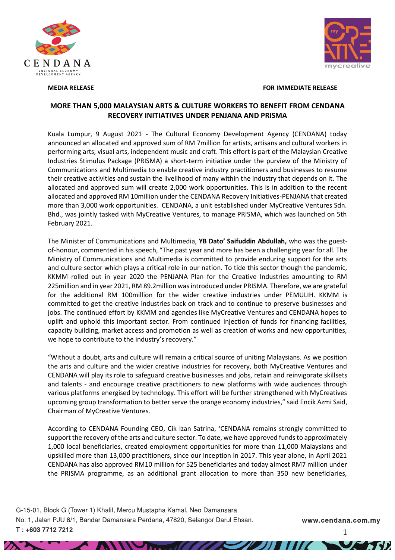



#### **MEDIA RELEASE FOR IMMEDIATE RELEASE**

# **MORE THAN 5,000 MALAYSIAN ARTS & CULTURE WORKERS TO BENEFIT FROM CENDANA RECOVERY INITIATIVES UNDER PENJANA AND PRISMA**

Kuala Lumpur, 9 August 2021 - The Cultural Economy Development Agency (CENDANA) today announced an allocated and approved sum of RM 7million for artists, artisans and cultural workers in performing arts, visual arts, independent music and craft. This effort is part of the Malaysian Creative Industries Stimulus Package (PRISMA) a short-term initiative under the purview of the Ministry of Communications and Multimedia to enable creative industry practitioners and businesses to resume their creative activities and sustain the livelihood of many within the industry that depends on it. The allocated and approved sum will create 2,000 work opportunities. This is in addition to the recent allocated and approved RM 10million under the CENDANA Recovery Initiatives-PENJANA that created more than 3,000 work opportunities. CENDANA, a unit established under MyCreative Ventures Sdn. Bhd., was jointly tasked with MyCreative Ventures, to manage PRISMA, which was launched on 5th February 2021.

The Minister of Communications and Multimedia, **YB Dato' Saifuddin Abdullah,** who was the guestof-honour, commented in his speech, "The past year and more has been a challenging year for all. The Ministry of Communications and Multimedia is committed to provide enduring support for the arts and culture sector which plays a critical role in our nation. To tide this sector though the pandemic, KKMM rolled out in year 2020 the PENJANA Plan for the Creative Industries amounting to RM 225million and in year 2021, RM 89.2million was introduced under PRISMA. Therefore, we are grateful for the additional RM 100million for the wider creative industries under PEMULIH. KKMM is committed to get the creative industries back on track and to continue to preserve businesses and jobs. The continued effort by KKMM and agencies like MyCreative Ventures and CENDANA hopes to uplift and uphold this important sector. From continued injection of funds for financing facilities, capacity building, market access and promotion as well as creation of works and new opportunities, we hope to contribute to the industry's recovery."

"Without a doubt, arts and culture will remain a critical source of uniting Malaysians. As we position the arts and culture and the wider creative industries for recovery, both MyCreative Ventures and CENDANA will play its role to safeguard creative businesses and jobs, retain and reinvigorate skillsets and talents - and encourage creative practitioners to new platforms with wide audiences through various platforms energised by technology. This effort will be further strengthened with MyCreatives upcoming group transformation to better serve the orange economy industries," said Encik Azmi Said, Chairman of MyCreative Ventures.

According to CENDANA Founding CEO, Cik Izan Satrina, 'CENDANA remains strongly committed to support the recovery of the arts and culture sector. To date, we have approved funds to approximately 1,000 local beneficiaries, created employment opportunities for more than 11,000 Malaysians and upskilled more than 13,000 practitioners, since our inception in 2017. This year alone, in April 2021 CENDANA has also approved RM10 million for 525 beneficiaries and today almost RM7 million under the PRISMA programme, as an additional grant allocation to more than 350 new beneficiaries,

AXXII ANNUMATION DI HIII NU

G-15-01, Block G (Tower 1) Khalif, Mercu Mustapha Kamal, Neo Damansara No. 1, Jalan PJU 8/1, Bandar Damansara Perdana, 47820, Selangor Darul Ehsan. T: +603 7712 7212

www.cendana.com.my

1

БЕР